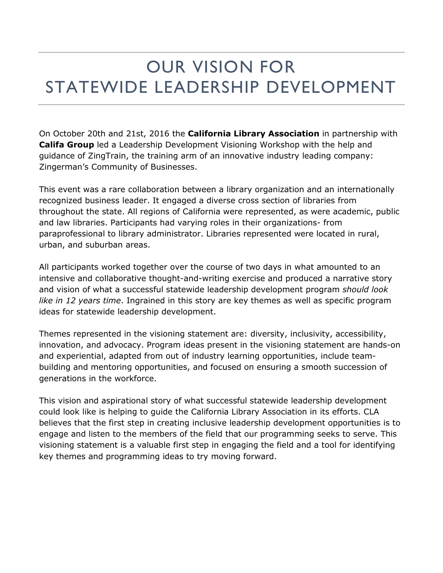## OUR VISION FOR STATEWIDE LEADERSHIP DEVELOPMENT

On October 20th and 21st, 2016 the **California Library Association** in partnership with **Califa Group** led a Leadership Development Visioning Workshop with the help and guidance of ZingTrain, the training arm of an innovative industry leading company: Zingerman's Community of Businesses.

This event was a rare collaboration between a library organization and an internationally recognized business leader. It engaged a diverse cross section of libraries from throughout the state. All regions of California were represented, as were academic, public and law libraries. Participants had varying roles in their organizations- from paraprofessional to library administrator. Libraries represented were located in rural, urban, and suburban areas.

All participants worked together over the course of two days in what amounted to an intensive and collaborative thought-and-writing exercise and produced a narrative story and vision of what a successful statewide leadership development program *should look like in 12 years time*. Ingrained in this story are key themes as well as specific program ideas for statewide leadership development.

Themes represented in the visioning statement are: diversity, inclusivity, accessibility, innovation, and advocacy. Program ideas present in the visioning statement are hands-on and experiential, adapted from out of industry learning opportunities, include teambuilding and mentoring opportunities, and focused on ensuring a smooth succession of generations in the workforce.

This vision and aspirational story of what successful statewide leadership development could look like is helping to guide the California Library Association in its efforts. CLA believes that the first step in creating inclusive leadership development opportunities is to engage and listen to the members of the field that our programming seeks to serve. This visioning statement is a valuable first step in engaging the field and a tool for identifying key themes and programming ideas to try moving forward.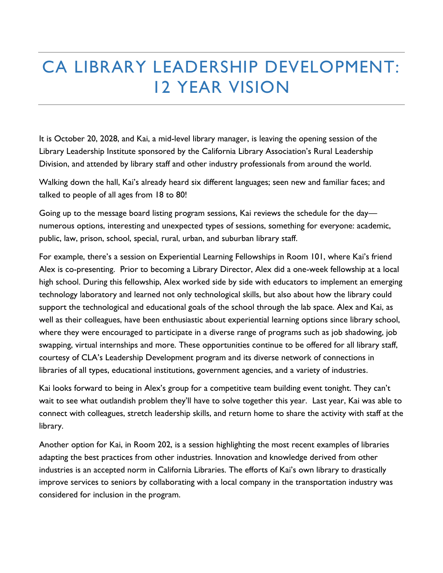## CA LIBRARY LEADERSHIP DEVELOPMENT: 12 YEAR VISION

It is October 20, 2028, and Kai, a mid-level library manager, is leaving the opening session of the Library Leadership Institute sponsored by the California Library Association's Rural Leadership Division, and attended by library staff and other industry professionals from around the world.

Walking down the hall, Kai's already heard six different languages; seen new and familiar faces; and talked to people of all ages from 18 to 80!

Going up to the message board listing program sessions, Kai reviews the schedule for the day numerous options, interesting and unexpected types of sessions, something for everyone: academic, public, law, prison, school, special, rural, urban, and suburban library staff.

For example, there's a session on Experiential Learning Fellowships in Room 101, where Kai's friend Alex is co-presenting. Prior to becoming a Library Director, Alex did a one-week fellowship at a local high school. During this fellowship, Alex worked side by side with educators to implement an emerging technology laboratory and learned not only technological skills, but also about how the library could support the technological and educational goals of the school through the lab space. Alex and Kai, as well as their colleagues, have been enthusiastic about experiential learning options since library school, where they were encouraged to participate in a diverse range of programs such as job shadowing, job swapping, virtual internships and more. These opportunities continue to be offered for all library staff, courtesy of CLA's Leadership Development program and its diverse network of connections in libraries of all types, educational institutions, government agencies, and a variety of industries.

Kai looks forward to being in Alex's group for a competitive team building event tonight. They can't wait to see what outlandish problem they'll have to solve together this year. Last year, Kai was able to connect with colleagues, stretch leadership skills, and return home to share the activity with staff at the library.

Another option for Kai, in Room 202, is a session highlighting the most recent examples of libraries adapting the best practices from other industries. Innovation and knowledge derived from other industries is an accepted norm in California Libraries. The efforts of Kai's own library to drastically improve services to seniors by collaborating with a local company in the transportation industry was considered for inclusion in the program.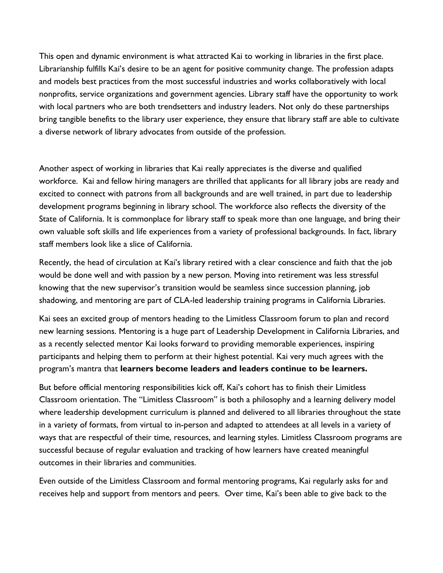This open and dynamic environment is what attracted Kai to working in libraries in the first place. Librarianship fulfills Kai's desire to be an agent for positive community change. The profession adapts and models best practices from the most successful industries and works collaboratively with local nonprofits, service organizations and government agencies. Library staff have the opportunity to work with local partners who are both trendsetters and industry leaders. Not only do these partnerships bring tangible benefits to the library user experience, they ensure that library staff are able to cultivate a diverse network of library advocates from outside of the profession.

Another aspect of working in libraries that Kai really appreciates is the diverse and qualified workforce. Kai and fellow hiring managers are thrilled that applicants for all library jobs are ready and excited to connect with patrons from all backgrounds and are well trained, in part due to leadership development programs beginning in library school. The workforce also reflects the diversity of the State of California. It is commonplace for library staff to speak more than one language, and bring their own valuable soft skills and life experiences from a variety of professional backgrounds. In fact, library staff members look like a slice of California.

Recently, the head of circulation at Kai's library retired with a clear conscience and faith that the job would be done well and with passion by a new person. Moving into retirement was less stressful knowing that the new supervisor's transition would be seamless since succession planning, job shadowing, and mentoring are part of CLA-led leadership training programs in California Libraries.

Kai sees an excited group of mentors heading to the Limitless Classroom forum to plan and record new learning sessions. Mentoring is a huge part of Leadership Development in California Libraries, and as a recently selected mentor Kai looks forward to providing memorable experiences, inspiring participants and helping them to perform at their highest potential. Kai very much agrees with the program's mantra that **learners become leaders and leaders continue to be learners.** 

But before official mentoring responsibilities kick off, Kai's cohort has to finish their Limitless Classroom orientation. The "Limitless Classroom" is both a philosophy and a learning delivery model where leadership development curriculum is planned and delivered to all libraries throughout the state in a variety of formats, from virtual to in-person and adapted to attendees at all levels in a variety of ways that are respectful of their time, resources, and learning styles. Limitless Classroom programs are successful because of regular evaluation and tracking of how learners have created meaningful outcomes in their libraries and communities.

Even outside of the Limitless Classroom and formal mentoring programs, Kai regularly asks for and receives help and support from mentors and peers. Over time, Kai's been able to give back to the